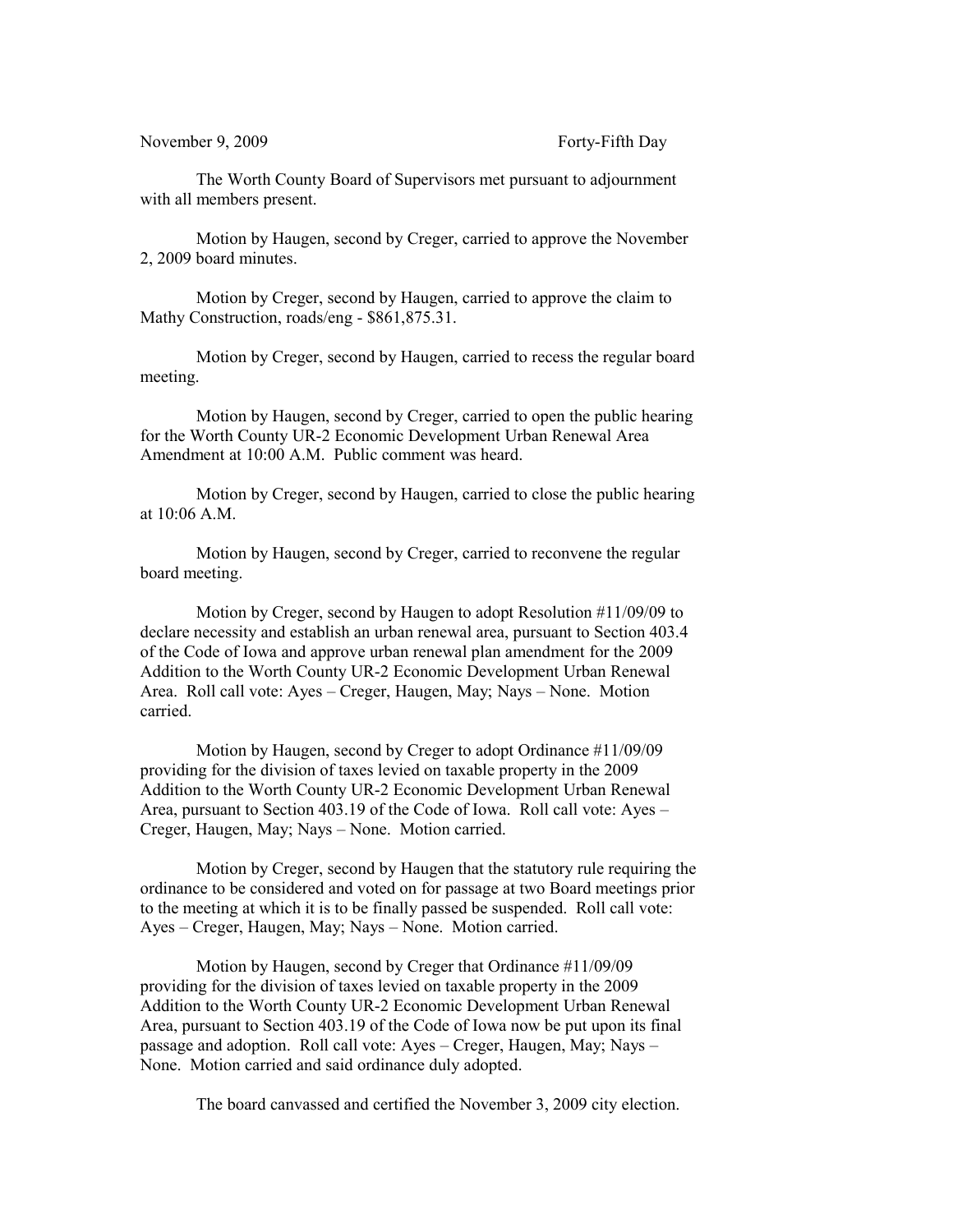November 9, 2009 Forty-Fifth Day

The Worth County Board of Supervisors met pursuant to adjournment with all members present.

Motion by Haugen, second by Creger, carried to approve the November 2, 2009 board minutes.

Motion by Creger, second by Haugen, carried to approve the claim to Mathy Construction, roads/eng - \$861,875.31.

Motion by Creger, second by Haugen, carried to recess the regular board meeting.

Motion by Haugen, second by Creger, carried to open the public hearing for the Worth County UR-2 Economic Development Urban Renewal Area Amendment at 10:00 A.M. Public comment was heard.

Motion by Creger, second by Haugen, carried to close the public hearing at 10:06 A.M.

Motion by Haugen, second by Creger, carried to reconvene the regular board meeting.

Motion by Creger, second by Haugen to adopt Resolution #11/09/09 to declare necessity and establish an urban renewal area, pursuant to Section 403.4 of the Code of Iowa and approve urban renewal plan amendment for the 2009 Addition to the Worth County UR-2 Economic Development Urban Renewal Area. Roll call vote: Ayes – Creger, Haugen, May; Nays – None. Motion carried.

Motion by Haugen, second by Creger to adopt Ordinance #11/09/09 providing for the division of taxes levied on taxable property in the 2009 Addition to the Worth County UR-2 Economic Development Urban Renewal Area, pursuant to Section 403.19 of the Code of Iowa. Roll call vote: Ayes – Creger, Haugen, May; Nays – None. Motion carried.

Motion by Creger, second by Haugen that the statutory rule requiring the ordinance to be considered and voted on for passage at two Board meetings prior to the meeting at which it is to be finally passed be suspended. Roll call vote: Ayes – Creger, Haugen, May; Nays – None. Motion carried.

Motion by Haugen, second by Creger that Ordinance #11/09/09 providing for the division of taxes levied on taxable property in the 2009 Addition to the Worth County UR-2 Economic Development Urban Renewal Area, pursuant to Section 403.19 of the Code of Iowa now be put upon its final passage and adoption. Roll call vote: Ayes – Creger, Haugen, May; Nays – None. Motion carried and said ordinance duly adopted.

The board canvassed and certified the November 3, 2009 city election.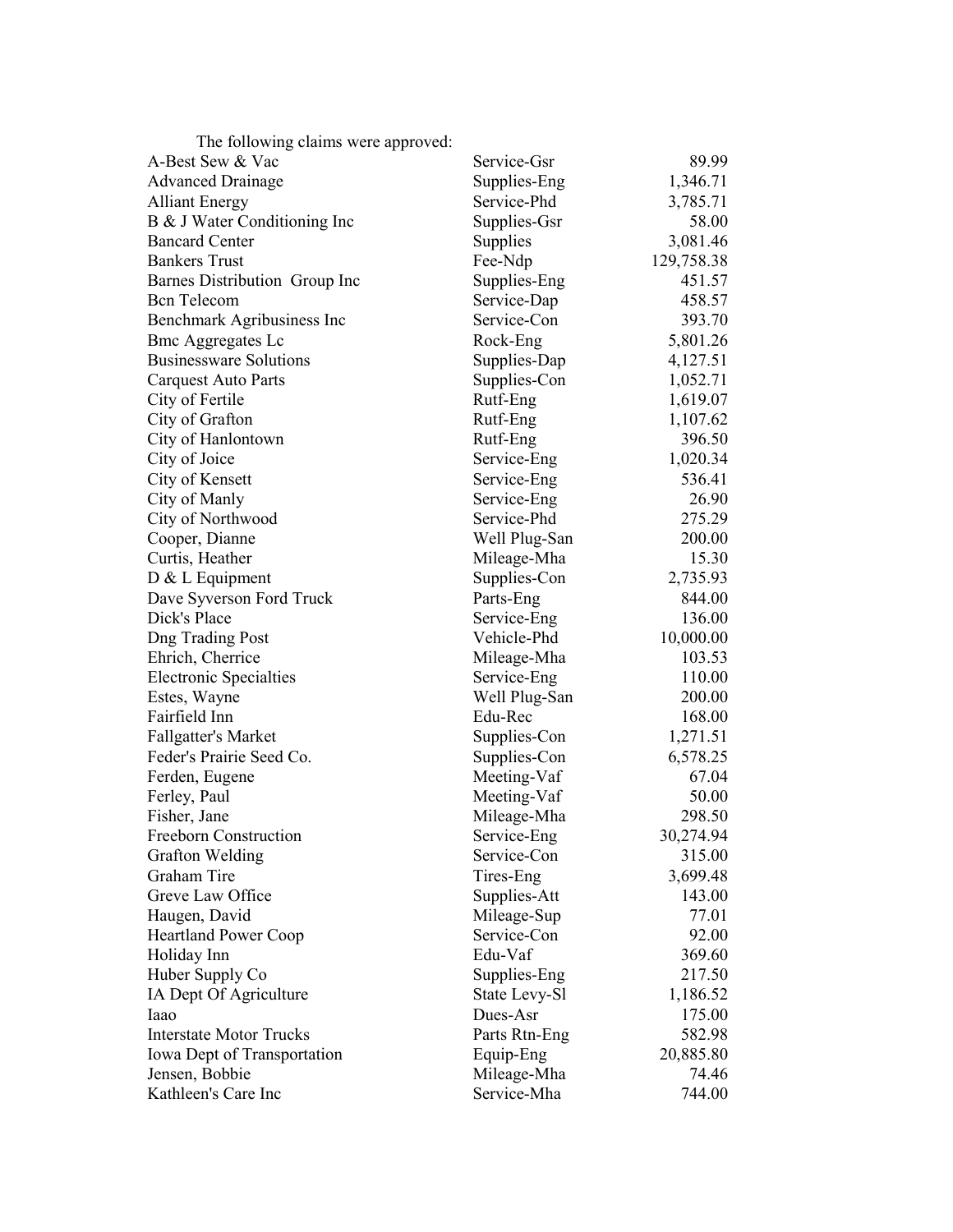| The following claims were approved: |               |            |
|-------------------------------------|---------------|------------|
| A-Best Sew & Vac                    | Service-Gsr   | 89.99      |
| <b>Advanced Drainage</b>            | Supplies-Eng  | 1,346.71   |
| <b>Alliant Energy</b>               | Service-Phd   | 3,785.71   |
| B & J Water Conditioning Inc        | Supplies-Gsr  | 58.00      |
| <b>Bancard Center</b>               | Supplies      | 3,081.46   |
| <b>Bankers Trust</b>                | Fee-Ndp       | 129,758.38 |
| Barnes Distribution Group Inc       | Supplies-Eng  | 451.57     |
| <b>Bcn</b> Telecom                  | Service-Dap   | 458.57     |
| Benchmark Agribusiness Inc          | Service-Con   | 393.70     |
| <b>Bmc Aggregates Lc</b>            | Rock-Eng      | 5,801.26   |
| <b>Businessware Solutions</b>       | Supplies-Dap  | 4,127.51   |
| <b>Carquest Auto Parts</b>          | Supplies-Con  | 1,052.71   |
| City of Fertile                     | Rutf-Eng      | 1,619.07   |
| City of Grafton                     | Rutf-Eng      | 1,107.62   |
| City of Hanlontown                  | Rutf-Eng      | 396.50     |
| City of Joice                       | Service-Eng   | 1,020.34   |
| City of Kensett                     | Service-Eng   | 536.41     |
| City of Manly                       | Service-Eng   | 26.90      |
| City of Northwood                   | Service-Phd   | 275.29     |
| Cooper, Dianne                      | Well Plug-San | 200.00     |
| Curtis, Heather                     | Mileage-Mha   | 15.30      |
| $D & L$ Equipment                   | Supplies-Con  | 2,735.93   |
| Dave Syverson Ford Truck            | Parts-Eng     | 844.00     |
| Dick's Place                        | Service-Eng   | 136.00     |
| <b>Dng Trading Post</b>             | Vehicle-Phd   | 10,000.00  |
| Ehrich, Cherrice                    | Mileage-Mha   | 103.53     |
| <b>Electronic Specialties</b>       | Service-Eng   | 110.00     |
| Estes, Wayne                        | Well Plug-San | 200.00     |
| Fairfield Inn                       | Edu-Rec       | 168.00     |
| <b>Fallgatter's Market</b>          | Supplies-Con  | 1,271.51   |
| Feder's Prairie Seed Co.            | Supplies-Con  | 6,578.25   |
| Ferden, Eugene                      | Meeting-Vaf   | 67.04      |
| Ferley, Paul                        | Meeting-Vaf   | 50.00      |
| Fisher, Jane                        | Mileage-Mha   | 298.50     |
| Freeborn Construction               | Service-Eng   | 30,274.94  |
| <b>Grafton Welding</b>              | Service-Con   | 315.00     |
| Graham Tire                         | Tires-Eng     | 3,699.48   |
| Greve Law Office                    | Supplies-Att  | 143.00     |
| Haugen, David                       | Mileage-Sup   | 77.01      |
| <b>Heartland Power Coop</b>         | Service-Con   | 92.00      |
| Holiday Inn                         | Edu-Vaf       | 369.60     |
| Huber Supply Co                     | Supplies-Eng  | 217.50     |
| IA Dept Of Agriculture              | State Levy-Sl | 1,186.52   |
| Iaao                                | Dues-Asr      | 175.00     |
| <b>Interstate Motor Trucks</b>      |               |            |
|                                     | Parts Rtn-Eng | 582.98     |
| Iowa Dept of Transportation         | Equip-Eng     | 20,885.80  |
| Jensen, Bobbie                      | Mileage-Mha   | 74.46      |
| Kathleen's Care Inc                 | Service-Mha   | 744.00     |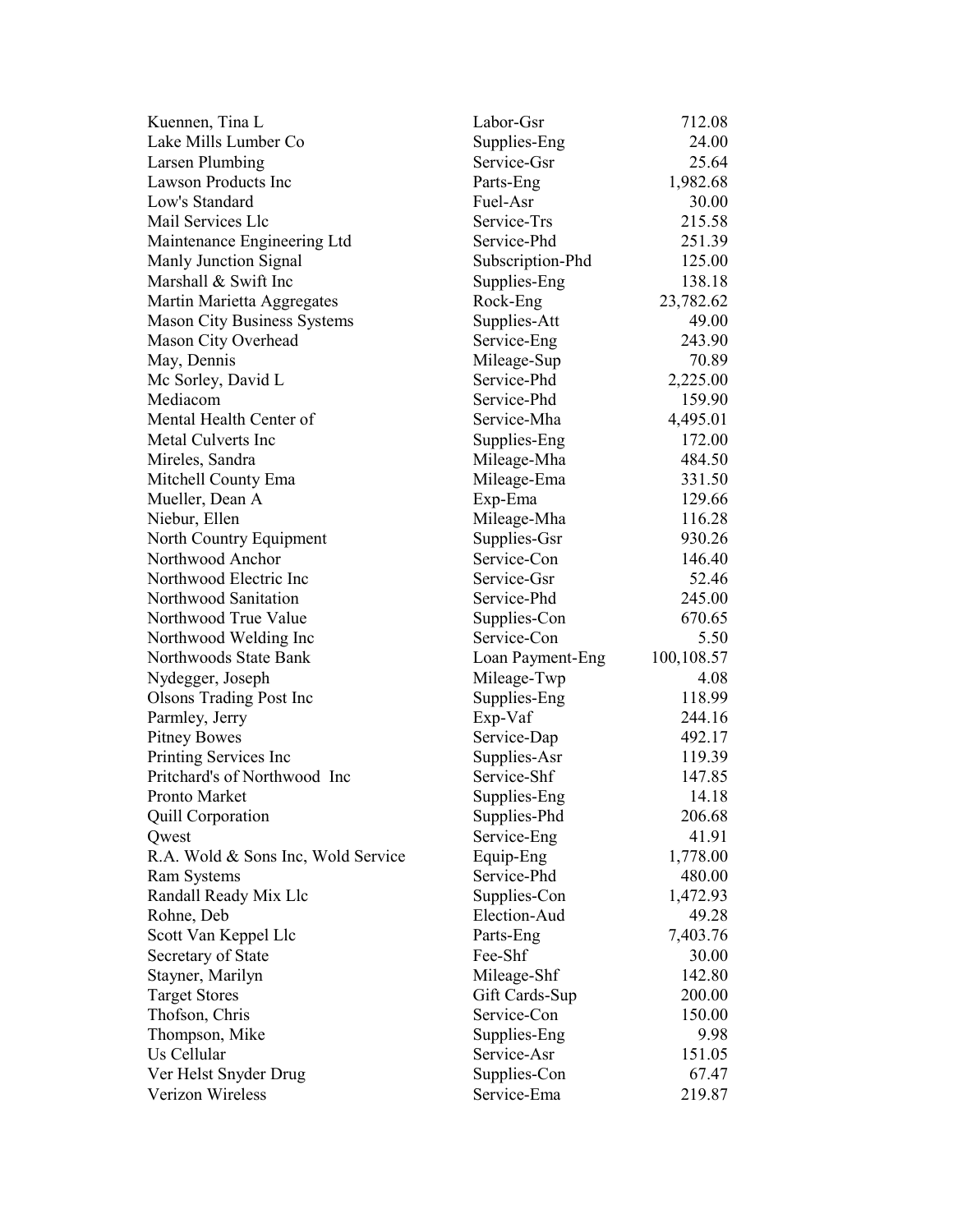| Kuennen, Tina L                                       | Labor-Gsr                   | 712.08     |
|-------------------------------------------------------|-----------------------------|------------|
| Lake Mills Lumber Co                                  | Supplies-Eng                | 24.00      |
| Larsen Plumbing                                       | Service-Gsr                 | 25.64      |
| <b>Lawson Products Inc</b>                            | Parts-Eng                   | 1,982.68   |
| Low's Standard                                        | Fuel-Asr                    | 30.00      |
| Mail Services Llc                                     | Service-Trs                 | 215.58     |
| Maintenance Engineering Ltd                           | Service-Phd                 | 251.39     |
| Manly Junction Signal                                 | Subscription-Phd            | 125.00     |
| Marshall & Swift Inc                                  | Supplies-Eng                | 138.18     |
| Martin Marietta Aggregates                            | Rock-Eng                    | 23,782.62  |
| <b>Mason City Business Systems</b>                    | Supplies-Att                | 49.00      |
| Mason City Overhead                                   | Service-Eng                 | 243.90     |
| May, Dennis                                           | Mileage-Sup                 | 70.89      |
| Mc Sorley, David L                                    | Service-Phd                 | 2,225.00   |
| Mediacom                                              | Service-Phd                 | 159.90     |
| Mental Health Center of                               | Service-Mha                 | 4,495.01   |
| Metal Culverts Inc                                    | Supplies-Eng                | 172.00     |
| Mireles, Sandra                                       | Mileage-Mha                 | 484.50     |
| Mitchell County Ema                                   | Mileage-Ema                 | 331.50     |
| Mueller, Dean A                                       | Exp-Ema                     | 129.66     |
| Niebur, Ellen                                         | Mileage-Mha                 | 116.28     |
| North Country Equipment                               | Supplies-Gsr                | 930.26     |
| Northwood Anchor                                      | Service-Con                 | 146.40     |
| Northwood Electric Inc                                | Service-Gsr                 | 52.46      |
| Northwood Sanitation                                  | Service-Phd                 | 245.00     |
| Northwood True Value                                  | Supplies-Con                | 670.65     |
| Northwood Welding Inc                                 | Service-Con                 | 5.50       |
| Northwoods State Bank                                 | Loan Payment-Eng            | 100,108.57 |
| Nydegger, Joseph                                      | Mileage-Twp                 | 4.08       |
| <b>Olsons Trading Post Inc.</b>                       | Supplies-Eng                | 118.99     |
|                                                       |                             | 244.16     |
| Parmley, Jerry                                        | Exp-Vaf                     | 492.17     |
| <b>Pitney Bowes</b>                                   | Service-Dap                 | 119.39     |
| Printing Services Inc<br>Pritchard's of Northwood Inc | Supplies-Asr<br>Service-Shf |            |
|                                                       |                             | 147.85     |
| Pronto Market                                         | Supplies-Eng                | 14.18      |
| <b>Quill Corporation</b>                              | Supplies-Phd                | 206.68     |
| Qwest                                                 | Service-Eng                 | 41.91      |
| R.A. Wold & Sons Inc, Wold Service                    | Equip-Eng                   | 1,778.00   |
| Ram Systems                                           | Service-Phd                 | 480.00     |
| Randall Ready Mix Llc                                 | Supplies-Con                | 1,472.93   |
| Rohne, Deb                                            | Election-Aud                | 49.28      |
| Scott Van Keppel Llc                                  | Parts-Eng                   | 7,403.76   |
| Secretary of State                                    | Fee-Shf                     | 30.00      |
| Stayner, Marilyn                                      | Mileage-Shf                 | 142.80     |
|                                                       |                             |            |
| <b>Target Stores</b>                                  | Gift Cards-Sup              | 200.00     |
| Thofson, Chris                                        | Service-Con                 | 150.00     |
| Thompson, Mike                                        | Supplies-Eng                | 9.98       |
| Us Cellular                                           | Service-Asr                 | 151.05     |
| Ver Helst Snyder Drug                                 | Supplies-Con                | 67.47      |